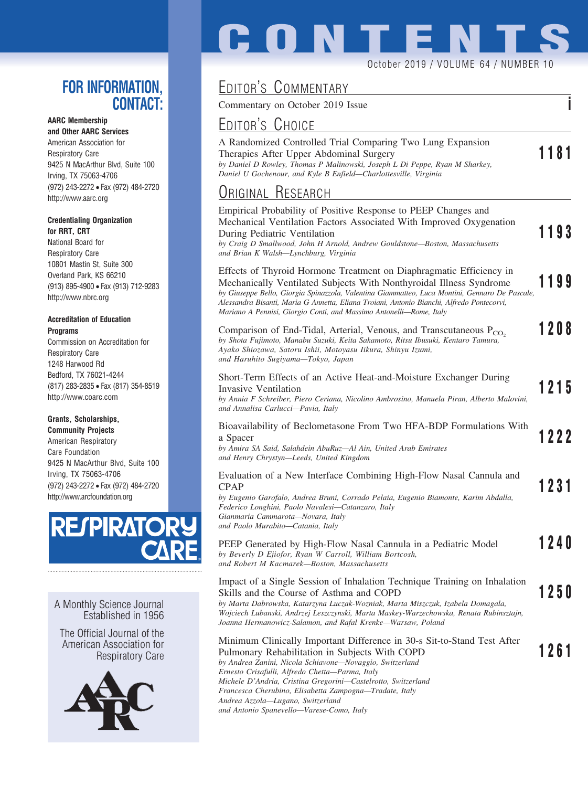### **FOR INFORMATION, CONTACT:**

#### **AARC Membership**

**and Other AARC Services** American Association for Respiratory Care 9425 N MacArthur Blvd, Suite 100 Irving, TX 75063-4706 (972) 243-2272 • Fax (972) 484-2720 http://www.aarc.org

#### **Credentialing Organization for RRT, CRT**

National Board for Respiratory Care 10801 Mastin St, Suite 300 Overland Park, KS 66210 (913) 895-4900 • Fax (913) 712-9283 http://www.nbrc.org

#### **Accreditation of Education Programs**

Commission on Accreditation for Respiratory Care 1248 Harwood Rd Bedford, TX 76021-4244 (817) 283-2835 • Fax (817) 354-8519 http://www.coarc.com

#### **Grants, Scholarships,**

**Community Projects** American Respiratory Care Foundation 9425 N MacArthur Blvd, Suite 100 Irving, TX 75063-4706 (972) 243-2272 • Fax (972) 484-2720 http://www.arcfoundation.org



A Monthly Science Journal Established in 1956

The Official Journal of the American Association for Respiratory Care



# **CONTENT**

#### October 2019 / VOLUME 64 / NUMBER 10

## EDITOR'S COMMENTARY

Commentary on October 2019 Issue **i**

## EDITOR'S CHOICE

| A Randomized Controlled Trial Comparing Two Lung Expansion                  |      |
|-----------------------------------------------------------------------------|------|
| Therapies After Upper Abdominal Surgery                                     | 1181 |
| by Daniel D Rowley, Thomas P Malinowski, Joseph L Di Peppe, Ryan M Sharkey, |      |
| Daniel U Gochenour, and Kyle B Enfield—Charlottesville, Virginia            |      |

## ORIGINAL RESEARCH

| Empirical Probability of Positive Response to PEEP Changes and<br>Mechanical Ventilation Factors Associated With Improved Oxygenation<br>During Pediatric Ventilation<br>by Craig D Smallwood, John H Arnold, Andrew Gouldstone-Boston, Massachusetts<br>and Brian K Walsh-Lynchburg, Virginia                                                                                                                   |  | 1193 |
|------------------------------------------------------------------------------------------------------------------------------------------------------------------------------------------------------------------------------------------------------------------------------------------------------------------------------------------------------------------------------------------------------------------|--|------|
| Effects of Thyroid Hormone Treatment on Diaphragmatic Efficiency in<br>Mechanically Ventilated Subjects With Nonthyroidal Illness Syndrome<br>by Giuseppe Bello, Giorgia Spinazzola, Valentina Giammatteo, Luca Montini, Gennaro De Pascale,<br>Alessandra Bisanti, Maria G Annetta, Eliana Troiani, Antonio Bianchi, Alfredo Pontecorvi,<br>Mariano A Pennisi, Giorgio Conti, and Massimo Antonelli-Rome, Italy |  | 1199 |
| Comparison of End-Tidal, Arterial, Venous, and Transcutaneous P <sub>CO</sub> ,<br>by Shota Fujimoto, Manabu Suzuki, Keita Sakamoto, Ritsu Ibusuki, Kentaro Tamura,<br>Ayako Shiozawa, Satoru Ishii, Motoyasu Iikura, Shinyu Izumi,<br>and Haruhito Sugiyama—Tokyo, Japan                                                                                                                                        |  | 1208 |
| Short-Term Effects of an Active Heat-and-Moisture Exchanger During<br>Invasive Ventilation<br>by Annia F Schreiber, Piero Ceriana, Nicolino Ambrosino, Manuela Piran, Alberto Malovini,<br>and Annalisa Carlucci-Pavia, Italy                                                                                                                                                                                    |  | 1215 |
| Bioavailability of Beclometasone From Two HFA-BDP Formulations With<br>a Spacer<br>by Amira SA Said, Salahdein AbuRuz-Al Ain, United Arab Emirates<br>and Henry Chrystyn-Leeds, United Kingdom                                                                                                                                                                                                                   |  | 1222 |
| Evaluation of a New Interface Combining High-Flow Nasal Cannula and<br><b>CPAP</b><br>by Eugenio Garofalo, Andrea Bruni, Corrado Pelaia, Eugenio Biamonte, Karim Abdalla,<br>Federico Longhini, Paolo Navalesi-Catanzaro, Italy<br>Gianmaria Cammarota—Novara, Italy<br>and Paolo Murabito-Catania, Italy                                                                                                        |  | 1231 |
| PEEP Generated by High-Flow Nasal Cannula in a Pediatric Model<br>by Beverly D Ejiofor, Ryan W Carroll, William Bortcosh,<br>and Robert M Kacmarek-Boston, Massachusetts                                                                                                                                                                                                                                         |  | 1240 |
| Impact of a Single Session of Inhalation Technique Training on Inhalation<br>Skills and the Course of Asthma and COPD<br>by Marta Dabrowska, Katarzyna Luczak-Wozniak, Marta Miszczuk, Izabela Domagala,<br>Wojciech Lubanski, Andrzej Leszczynski, Marta Maskey-Warzechowska, Renata Rubinsztajn,<br>Joanna Hermanowicz-Salamon, and Rafal Krenke—Warsaw, Poland                                                |  | 1250 |
| Minimum Clinically Important Difference in 30-s Sit-to-Stand Test After<br>Pulmonary Rehabilitation in Subjects With COPD<br>by Andrea Zanini, Nicola Schiavone-Novaggio, Switzerland<br>Ernesto Crisafulli, Alfredo Chetta-Parma, Italy<br>Michele D'Andria, Cristina Gregorini—Castelrotto, Switzerland<br>Francesca Cherubino, Elisabetta Zampogna-Tradate, Italy<br>Andrea Azzola—Lugano, Switzerland        |  | 1261 |

*and Antonio Spanevello—Varese-Como, Italy*